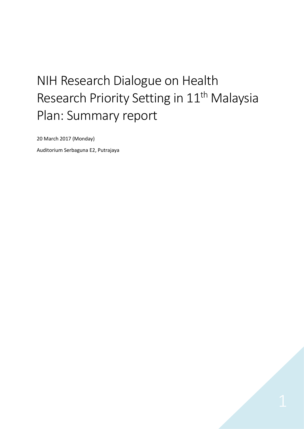# NIH Research Dialogue on Health Research Priority Setting in 11<sup>th</sup> Malaysia Plan: Summary report

20 March 2017 (Monday)

Auditorium Serbaguna E2, Putrajaya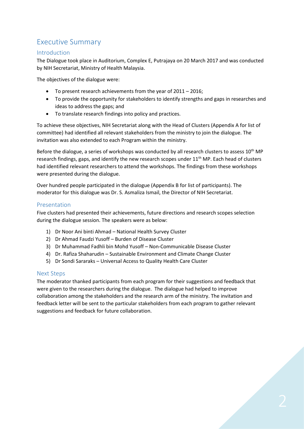# Executive Summary

# Introduction

The Dialogue took place in Auditorium, Complex E, Putrajaya on 20 March 2017 and was conducted by NIH Secretariat, Ministry of Health Malaysia.

The objectives of the dialogue were:

- To present research achievements from the year of 2011 2016;
- To provide the opportunity for stakeholders to identify strengths and gaps in researches and ideas to address the gaps; and
- To translate research findings into policy and practices.

To achieve these objectives, NIH Secretariat along with the Head of Clusters (Appendix A for list of committee) had identified all relevant stakeholders from the ministry to join the dialogue. The invitation was also extended to each Program within the ministry.

Before the dialogue, a series of workshops was conducted by all research clusters to assess  $10^{th}$  MP research findings, gaps, and identify the new research scopes under 11<sup>th</sup> MP. Each head of clusters had identified relevant researchers to attend the workshops. The findings from these workshops were presented during the dialogue.

Over hundred people participated in the dialogue (Appendix B for list of participants). The moderator for this dialogue was Dr. S. Asmaliza Ismail, the Director of NIH Secretariat.

# Presentation

Five clusters had presented their achievements, future directions and research scopes selection during the dialogue session. The speakers were as below:

- 1) Dr Noor Ani binti Ahmad National Health Survey Cluster
- 2) Dr Ahmad Faudzi Yusoff Burden of Disease Cluster
- 3) Dr Muhammad Fadhli bin Mohd Yusoff Non-Communicable Disease Cluster
- 4) Dr. Rafiza Shaharudin Sustainable Environment and Climate Change Cluster
- 5) Dr Sondi Sararaks Universal Access to Quality Health Care Cluster

# Next Steps

The moderator thanked participants from each program for their suggestions and feedback that were given to the researchers during the dialogue. The dialogue had helped to improve collaboration among the stakeholders and the research arm of the ministry. The invitation and feedback letter will be sent to the particular stakeholders from each program to gather relevant suggestions and feedback for future collaboration.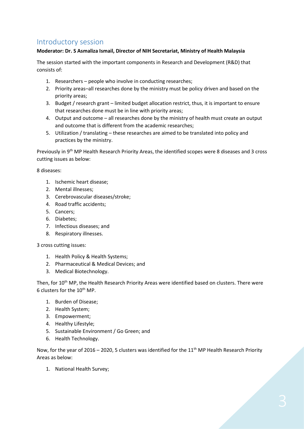# Introductory session

# **Moderator: Dr. S Asmaliza Ismail, Director of NIH Secretariat, Ministry of Health Malaysia**

The session started with the important components in Research and Development (R&D) that consists of:

- 1. Researchers people who involve in conducting researches;
- 2. Priority areas–all researches done by the ministry must be policy driven and based on the priority areas;
- 3. Budget / research grant limited budget allocation restrict, thus, it is important to ensure that researches done must be in line with priority areas;
- 4. Output and outcome all researches done by the ministry of health must create an output and outcome that is different from the academic researches;
- 5. Utilization / translating these researches are aimed to be translated into policy and practices by the ministry.

Previously in 9th MP Health Research Priority Areas, the identified scopes were 8 diseases and 3 cross cutting issues as below:

8 diseases:

- 1. Ischemic heart disease;
- 2. Mental illnesses;
- 3. Cerebrovascular diseases/stroke;
- 4. Road traffic accidents;
- 5. Cancers;
- 6. Diabetes;
- 7. Infectious diseases; and
- 8. Respiratory illnesses.

3 cross cutting issues:

- 1. Health Policy & Health Systems;
- 2. Pharmaceutical & Medical Devices; and
- 3. Medical Biotechnology.

Then, for 10<sup>th</sup> MP, the Health Research Priority Areas were identified based on clusters. There were 6 clusters for the 10<sup>th</sup> MP.

- 1. Burden of Disease;
- 2. Health System;
- 3. Empowerment;
- 4. Healthy Lifestyle;
- 5. Sustainable Environment / Go Green; and
- 6. Health Technology.

Now, for the year of 2016 – 2020, 5 clusters was identified for the  $11<sup>th</sup>$  MP Health Research Priority Areas as below:

1. National Health Survey;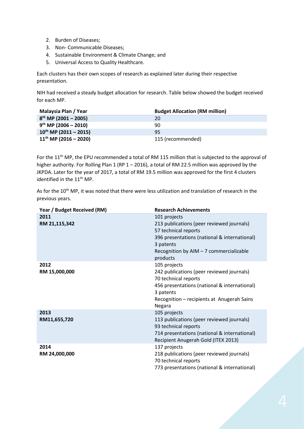- 2. Burden of Diseases;
- 3. Non- Communicable Diseases;
- 4. Sustainable Environment & Climate Change; and
- 5. Universal Access to Quality Healthcare.

Each clusters has their own scopes of research as explained later during their respective presentation.

NIH had received a steady budget allocation for research. Table below showed the budget received for each MP.

| Malaysia Plan / Year       | <b>Budget Allocation (RM million)</b> |
|----------------------------|---------------------------------------|
| $8^{th}$ MP (2001 - 2005)  | 20                                    |
| $9^{th}$ MP (2006 - 2010)  | 90                                    |
| $10^{th}$ MP (2011 - 2015) | 95                                    |
| $11^{th}$ MP (2016 - 2020) | 115 (recommended)                     |

For the 11<sup>th</sup> MP, the EPU recommended a total of RM 115 million that is subjected to the approval of higher authority. For Rolling Plan 1 (RP 1 – 2016), a total of RM 22.5 million was approved by the JKPDA. Later for the year of 2017, a total of RM 19.5 million was approved for the first 4 clusters identified in the 11<sup>th</sup> MP.

As for the 10<sup>th</sup> MP, it was noted that there were less utilization and translation of research in the previous years.

| Year / Budget Received (RM) | <b>Research Achievements</b>                                                                                                                                                                           |
|-----------------------------|--------------------------------------------------------------------------------------------------------------------------------------------------------------------------------------------------------|
| 2011<br>RM 21,115,342       | 101 projects<br>213 publications (peer reviewed journals)<br>57 technical reports<br>396 presentations (national & international)<br>3 patents<br>Recognition by AIM - 7 commercializable<br>products  |
| 2012<br>RM 15,000,000       | 105 projects<br>242 publications (peer reviewed journals)<br>70 technical reports<br>456 presentations (national & international)<br>3 patents<br>Recognition - recipients at Anugerah Sains<br>Negara |
| 2013<br>RM11,655,720        | 105 projects<br>113 publications (peer reviewed journals)<br>93 technical reports<br>714 presentations (national & international)<br>Recipient Anugerah Gold (ITEX 2013)                               |
| 2014<br>RM 24,000,000       | 137 projects<br>218 publications (peer reviewed journals)<br>70 technical reports<br>773 presentations (national & international)                                                                      |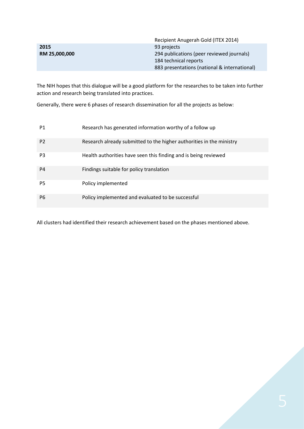|               | Recipient Anugerah Gold (ITEX 2014)          |
|---------------|----------------------------------------------|
| 2015          | 93 projects                                  |
| RM 25,000,000 | 294 publications (peer reviewed journals)    |
|               | 184 technical reports                        |
|               | 883 presentations (national & international) |

The NIH hopes that this dialogue will be a good platform for the researches to be taken into further action and research being translated into practices.

Generally, there were 6 phases of research dissemination for all the projects as below:

| P1             | Research has generated information worthy of a follow up             |
|----------------|----------------------------------------------------------------------|
| P <sub>2</sub> | Research already submitted to the higher authorities in the ministry |
| P <sub>3</sub> | Health authorities have seen this finding and is being reviewed      |
| P <sub>4</sub> | Findings suitable for policy translation                             |
| P <sub>5</sub> | Policy implemented                                                   |
| P <sub>6</sub> | Policy implemented and evaluated to be successful                    |

All clusters had identified their research achievement based on the phases mentioned above.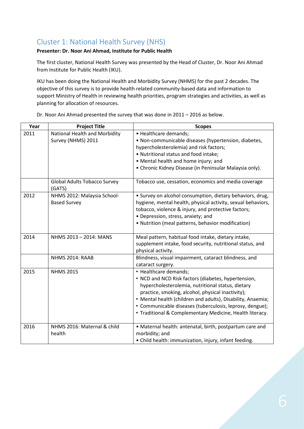# Cluster 1: National Health Survey (NHS)

# **Presenter: Dr. Noor Ani Ahmad, Institute for Public Health**

The first cluster, National Health Survey was presented by the Head of Cluster, Dr. Noor Ani Ahmad from Institute for Public Health (IKU).

IKU has been doing the National Health and Morbidity Survey (NHMS) for the past 2 decades. The objective of this survey is to provide health related community-based data and information to support Ministry of Health in reviewing health priorities, program strategies and activities, as well as planning for allocation of resources.

| Year | <b>Project Title</b>                                | <b>Scopes</b>                                                                                                                                                                                                                                                                                                                                                                 |
|------|-----------------------------------------------------|-------------------------------------------------------------------------------------------------------------------------------------------------------------------------------------------------------------------------------------------------------------------------------------------------------------------------------------------------------------------------------|
| 2011 | National Health and Morbidity<br>Survey (NHMS) 2011 | • Healthcare demands;<br>· Non-communicable diseases (hypertension, diabetes,<br>hypercholesterolemia) and risk factors;<br>• Nutritional status and food intake;<br>• Mental health and home injury; and<br>• Chronic Kidney Disease (in Peninsular Malaysia only).                                                                                                          |
|      | <b>Global Adults Tobacco Survey</b><br>(GATS)       | Tobacco use, cessation, economics and media coverage                                                                                                                                                                                                                                                                                                                          |
| 2012 | NHMS 2012: Malaysia School-<br><b>Based Survey</b>  | • Survey on alcohol consumption, dietary behaviors, drug,<br>hygiene, mental health, physical activity, sexual behaviors,<br>tobacco, violence & injury, and protective factors;<br>• Depression, stress, anxiety; and<br>• Nutrition (meal patterns, behavior modification)                                                                                                  |
| 2014 | NHMS 2013 - 2014: MANS                              | Meal pattern, habitual food intake, dietary intake,<br>supplement intake, food security, nutritional status, and<br>physical activity.                                                                                                                                                                                                                                        |
|      | NHMS 2014: RAAB                                     | Blindness, visual impairment, cataract blindness, and<br>cataract surgery.                                                                                                                                                                                                                                                                                                    |
| 2015 | <b>NHMS 2015</b>                                    | • Healthcare demands;<br>• NCD and NCD Risk factors (diabetes, hypertension,<br>hypercholesterolemia, nutritional status, dietary<br>practice, smoking, alcohol, physical inactivity);<br>• Mental health (children and adults), Disability, Anaemia;<br>• Communicable diseases (tuberculosis, leprosy, dengue);<br>• Traditional & Complementary Medicine, Health literacy. |
| 2016 | NHMS 2016: Maternal & child<br>health               | • Maternal health: antenatal, birth, postpartum care and<br>morbidity; and<br>• Child health: immunization, injury, infant feeding.                                                                                                                                                                                                                                           |

Dr. Noor Ani Ahmad presented the survey that was done in 2011 – 2016 as below.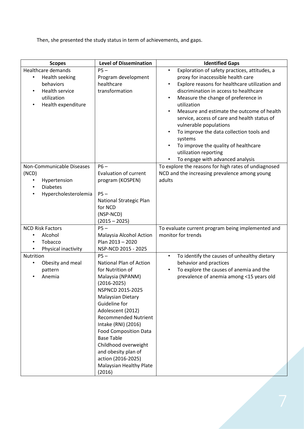Then, she presented the study status in term of achievements, and gaps.

| <b>Scopes</b>                                                                                                   | <b>Level of Dissemination</b>                                                                                                                                                                                                                                                                                                                                                                                  | <b>Identified Gaps</b>                                                                                                                                                                                                                                                                                                                                                                                                                                                                                                                                                                     |
|-----------------------------------------------------------------------------------------------------------------|----------------------------------------------------------------------------------------------------------------------------------------------------------------------------------------------------------------------------------------------------------------------------------------------------------------------------------------------------------------------------------------------------------------|--------------------------------------------------------------------------------------------------------------------------------------------------------------------------------------------------------------------------------------------------------------------------------------------------------------------------------------------------------------------------------------------------------------------------------------------------------------------------------------------------------------------------------------------------------------------------------------------|
| <b>Healthcare demands</b><br>Health seeking<br>behaviors<br>Health service<br>utilization<br>Health expenditure | $PS -$<br>Program development<br>healthcare<br>transformation                                                                                                                                                                                                                                                                                                                                                  | Exploration of safety practices, attitudes, a<br>$\bullet$<br>proxy for inaccessible health care<br>Explore reasons for healthcare utilization and<br>$\bullet$<br>discrimination in access to healthcare<br>Measure the change of preference in<br>$\bullet$<br>utilization<br>Measure and estimate the outcome of health<br>$\bullet$<br>service, access of care and health status of<br>vulnerable populations<br>To improve the data collection tools and<br>$\bullet$<br>systems<br>To improve the quality of healthcare<br>utilization reporting<br>To engage with advanced analysis |
| Non-Communicable Diseases<br>(NCD)<br>Hypertension<br>$\bullet$<br><b>Diabetes</b><br>Hypercholesterolemia      | $P6-$<br><b>Evaluation of current</b><br>program (KOSPEN)<br>$PS -$<br>National Strategic Plan<br>for NCD<br>(NSP-NCD)<br>$(2015 - 2025)$                                                                                                                                                                                                                                                                      | To explore the reasons for high rates of undiagnosed<br>NCD and the increasing prevalence among young<br>adults                                                                                                                                                                                                                                                                                                                                                                                                                                                                            |
| <b>NCD Risk Factors</b><br>Alcohol<br>Tobacco<br>Physical inactivity                                            | $PS -$<br>Malaysia Alcohol Action<br>Plan 2013 - 2020<br>NSP-NCD 2015 - 2025                                                                                                                                                                                                                                                                                                                                   | To evaluate current program being implemented and<br>monitor for trends                                                                                                                                                                                                                                                                                                                                                                                                                                                                                                                    |
| Nutrition<br>Obesity and meal<br>pattern<br>Anemia                                                              | $PS -$<br><b>National Plan of Action</b><br>for Nutrition of<br>Malaysia (NPANM)<br>$(2016 - 2025)$<br>NSPNCD 2015-2025<br><b>Malaysian Dietary</b><br>Guideline for<br>Adolescent (2012)<br><b>Recommended Nutrient</b><br>Intake (RNI) (2016)<br><b>Food Composition Data</b><br><b>Base Table</b><br>Childhood overweight<br>and obesity plan of<br>action (2016-2025)<br>Malaysian Healthy Plate<br>(2016) | To identify the causes of unhealthy dietary<br>$\bullet$<br>behavior and practices<br>To explore the causes of anemia and the<br>$\bullet$<br>prevalence of anemia among <15 years old                                                                                                                                                                                                                                                                                                                                                                                                     |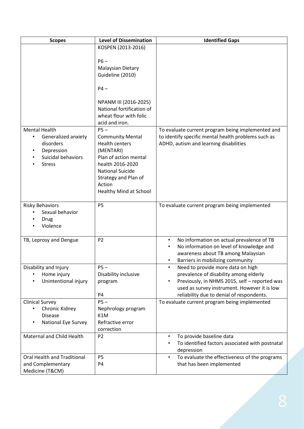| <b>Scopes</b>                            | <b>Level of Dissemination</b>             | <b>Identified Gaps</b>                                       |
|------------------------------------------|-------------------------------------------|--------------------------------------------------------------|
|                                          | KOSPEN (2013-2016)                        |                                                              |
|                                          |                                           |                                                              |
|                                          | $P6-$                                     |                                                              |
|                                          | <b>Malaysian Dietary</b>                  |                                                              |
|                                          | Guideline (2010)                          |                                                              |
|                                          | $P4-$                                     |                                                              |
|                                          |                                           |                                                              |
|                                          | NPANM III (2016-2025)                     |                                                              |
|                                          | National fortification of                 |                                                              |
|                                          | wheat flour with folic                    |                                                              |
|                                          | acid and iron.                            |                                                              |
| <b>Mental Health</b>                     | $PS -$                                    | To evaluate current program being implemented and            |
| Generalized anxiety                      | <b>Community Mental</b>                   | to identify specific mental health problems such as          |
| disorders                                | <b>Health centers</b>                     | ADHD, autism and learning disabilities                       |
| Depression                               | (MENTARI)                                 |                                                              |
| Suicidal behaviors<br><b>Stress</b>      | Plan of action mental<br>health 2016-2020 |                                                              |
|                                          | <b>National Suicide</b>                   |                                                              |
|                                          | Strategy and Plan of                      |                                                              |
|                                          | Action                                    |                                                              |
|                                          | Healthy Mind at School                    |                                                              |
|                                          |                                           |                                                              |
| <b>Risky Behaviors</b>                   | <b>P5</b>                                 | To evaluate current program being implemented                |
| Sexual behavior                          |                                           |                                                              |
| Drug                                     |                                           |                                                              |
| Violence                                 |                                           |                                                              |
| TB, Leprosy and Dengue                   | P <sub>2</sub>                            | No information on actual prevalence of TB<br>$\bullet$       |
|                                          |                                           | No information on level of knowledge and                     |
|                                          |                                           | awareness about TB among Malaysian                           |
|                                          |                                           | Barriers in mobilizing community                             |
| Disability and Injury                    | $P5-$                                     | Need to provide more data on high                            |
| Home injury                              | Disability inclusive                      | prevalence of disability among elderly                       |
| Unintentional injury                     | program                                   | Previously, in NHMS 2015, self - reported was<br>$\bullet$   |
|                                          |                                           | used as survey instrument. However it is low                 |
|                                          | <b>P4</b><br>$P5-$                        | reliability due to denial of respondents.                    |
| <b>Clinical Survey</b><br>Chronic Kidney |                                           | To evaluate current program being implemented                |
| <b>Disease</b>                           | Nephrology program<br>K1M                 |                                                              |
| <b>National Eye Survey</b>               | Refractive error                          |                                                              |
|                                          | correction                                |                                                              |
| Maternal and Child Health                | P <sub>2</sub>                            | To provide baseline data<br>$\bullet$                        |
|                                          |                                           | To identified factors associated with postnatal<br>$\bullet$ |
|                                          |                                           | depression                                                   |
| Oral Health and Traditional              | P <sub>5</sub>                            | To evaluate the effectiveness of the programs<br>$\bullet$   |
| and Complementary                        | P4                                        | that has been implemented                                    |
| Medicine (T&CM)                          |                                           |                                                              |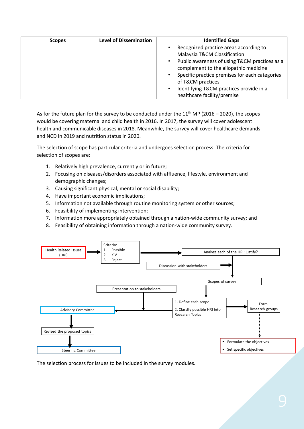| <b>Scopes</b> | <b>Level of Dissemination</b> | <b>Identified Gaps</b>                                      |  |
|---------------|-------------------------------|-------------------------------------------------------------|--|
|               |                               | Recognized practice areas according to                      |  |
|               |                               | Malaysia T&CM Classification                                |  |
|               |                               | Public awareness of using T&CM practices as a<br>$\bullet$  |  |
|               |                               | complement to the allopathic medicine                       |  |
|               |                               | Specific practice premises for each categories<br>$\bullet$ |  |
|               |                               | of T&CM practices                                           |  |
|               |                               | Identifying T&CM practices provide in a                     |  |
|               |                               | healthcare facility/premise                                 |  |

As for the future plan for the survey to be conducted under the  $11<sup>th</sup>$  MP (2016 – 2020), the scopes would be covering maternal and child health in 2016. In 2017, the survey will cover adolescent health and communicable diseases in 2018. Meanwhile, the survey will cover healthcare demands and NCD in 2019 and nutrition status in 2020.

The selection of scope has particular criteria and undergoes selection process. The criteria for selection of scopes are:

- 1. Relatively high prevalence, currently or in future;
- 2. Focusing on diseases/disorders associated with affluence, lifestyle, environment and demographic changes;
- 3. Causing significant physical, mental or social disability;
- 4. Have important economic implications;
- 5. Information not available through routine monitoring system or other sources;
- 6. Feasibility of implementing intervention;
- 7. Information more appropriately obtained through a nation-wide community survey; and
- 8. Feasibility of obtaining information through a nation-wide community survey.



The selection process for issues to be included in the survey modules.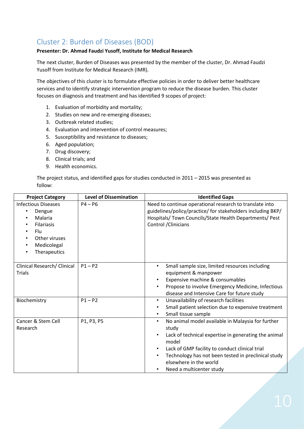# Cluster 2: Burden of Diseases (BOD)

# **Presenter: Dr. Ahmad Faudzi Yusoff, Institute for Medical Research**

The next cluster, Burden of Diseases was presented by the member of the cluster, Dr. Ahmad Faudzi Yusoff from Institute for Medical Research (IMR).

The objectives of this cluster is to formulate effective policies in order to deliver better healthcare services and to identify strategic intervention program to reduce the disease burden. This cluster focuses on diagnosis and treatment and has identified 9 scopes of project:

- 1. Evaluation of morbidity and mortality;
- 2. Studies on new and re-emerging diseases;
- 3. Outbreak related studies;
- 4. Evaluation and intervention of control measures;
- 5. Susceptibility and resistance to diseases;
- 6. Aged population;
- 7. Drug discovery;
- 8. Clinical trials; and
- 9. Health economics.

The project status, and identified gaps for studies conducted in 2011 – 2015 was presented as follow:

| <b>Project Category</b>                                                                                                                                                                                                       | <b>Level of Dissemination</b> | <b>Identified Gaps</b>                                                                                                                                                                                                                                                                                                                 |
|-------------------------------------------------------------------------------------------------------------------------------------------------------------------------------------------------------------------------------|-------------------------------|----------------------------------------------------------------------------------------------------------------------------------------------------------------------------------------------------------------------------------------------------------------------------------------------------------------------------------------|
| <b>Infectious Diseases</b><br>Dengue<br>$\bullet$<br>Malaria<br>$\bullet$<br><b>Filariasis</b><br>$\bullet$<br><b>Flu</b><br>$\bullet$<br>Other viruses<br>$\bullet$<br>Medicolegal<br>$\bullet$<br>Therapeutics<br>$\bullet$ | $P4 - P6$                     | Need to continue operational research to translate into<br>guidelines/policy/practice/ for stakeholders including BKP/<br>Hospitals/ Town Councils/State Health Departments/ Pest<br>Control / Clinicians                                                                                                                              |
| Clinical Research/ Clinical<br><b>Trials</b>                                                                                                                                                                                  | $P1 - P2$                     | Small sample size, limited resources including<br>$\bullet$<br>equipment & manpower<br>Expensive machine & consumables<br>Propose to involve Emergency Medicine, Infectious<br>disease and Intensive Care for future study                                                                                                             |
| Biochemistry                                                                                                                                                                                                                  | $P1 - P2$                     | Unavailability of research facilities<br>$\bullet$<br>Small patient selection due to expensive treatment<br>٠<br>Small tissue sample<br>٠                                                                                                                                                                                              |
| Cancer & Stem Cell<br>Research                                                                                                                                                                                                | P1, P3, P5                    | No animal model available in Malaysia for further<br>$\bullet$<br>study<br>Lack of technical expertise in generating the animal<br>$\bullet$<br>model<br>Lack of GMP facility to conduct clinical trial<br>$\bullet$<br>Technology has not been tested in preclinical study<br>٠<br>elsewhere in the world<br>Need a multicenter study |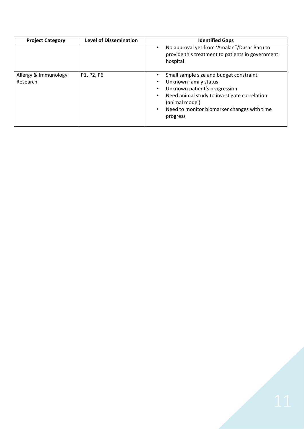| <b>Project Category</b>          | <b>Level of Dissemination</b> | <b>Identified Gaps</b>                                                                                                                                                                                                                   |  |
|----------------------------------|-------------------------------|------------------------------------------------------------------------------------------------------------------------------------------------------------------------------------------------------------------------------------------|--|
|                                  |                               | No approval yet from 'Amalan"/Dasar Baru to<br>provide this treatment to patients in government<br>hospital                                                                                                                              |  |
| Allergy & Immunology<br>Research | P1, P2, P6                    | Small sample size and budget constraint<br>Unknown family status<br>٠<br>Unknown patient's progression<br>Need animal study to investigate correlation<br>(animal model)<br>Need to monitor biomarker changes with time<br>٠<br>progress |  |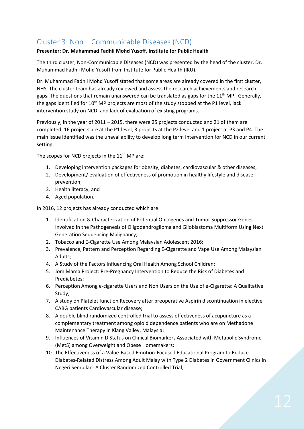# Cluster 3: Non – Communicable Diseases (NCD)

# **Presenter: Dr. Muhammad Fadhli Mohd Yusoff, Institute for Public Health**

The third cluster, Non-Communicable Diseases (NCD) was presented by the head of the cluster, Dr. Muhammad Fadhli Mohd Yusoff from Institute for Public Health (IKU).

Dr. Muhammad Fadhli Mohd Yusoff stated that some areas are already covered in the first cluster, NHS. The cluster team has already reviewed and assess the research achievements and research gaps. The questions that remain unanswered can be translated as gaps for the  $11<sup>th</sup>$  MP. Generally, the gaps identified for 10<sup>th</sup> MP projects are most of the study stopped at the P1 level, lack intervention study on NCD, and lack of evaluation of existing programs.

Previously, in the year of 2011 – 2015, there were 25 projects conducted and 21 of them are completed. 16 projects are at the P1 level, 3 projects at the P2 level and 1 project at P3 and P4. The main issue identified was the unavailability to develop long term intervention for NCD in our current setting.

The scopes for NCD projects in the  $11<sup>th</sup>$  MP are:

- 1. Developing intervention packages for obesity, diabetes, cardiovascular & other diseases;
- 2. Development/ evaluation of effectiveness of promotion in healthy lifestyle and disease prevention;
- 3. Health literacy; and
- 4. Aged population.

In 2016, 12 projects has already conducted which are:

- 1. Identification & Characterization of Potential Oncogenes and Tumor Suppressor Genes Involved in the Pathogenesis of Oligodendroglioma and Glioblastoma Multiform Using Next Generation Sequencing Malignancy;
- 2. Tobacco and E-Cigarette Use Among Malaysian Adolescent 2016;
- 3. Prevalence, Pattern and Perception Regarding E-Cigarette and Vape Use Among Malaysian Adults;
- 4. A Study of the Factors Influencing Oral Health Among School Children;
- 5. Jom Mama Project: Pre-Pregnancy Intervention to Reduce the Risk of Diabetes and Prediabetes;
- 6. Perception Among e-cigarette Users and Non Users on the Use of e-Cigarette: A Qualitative Study;
- 7. A study on Platelet function Recovery after preoperative Aspirin discontinuation in elective CABG patients Cardiovascular disease;
- 8. A double blind randomized controlled trial to assess effectiveness of acupuncture as a complementary treatment among opioid dependence patients who are on Methadone Maintenance Therapy in Klang Valley, Malaysia;
- 9. Influences of Vitamin D Status on Clinical Biomarkers Associated with Metabolic Syndrome (MetS) among Overweight and Obese Homemakers;
- 10. The Effectiveness of a Value-Based Emotion-Focused Educational Program to Reduce Diabetes-Related Distress Among Adult Malay with Type 2 Diabetes in Government Clinics in Negeri Sembilan: A Cluster Randomized Controlled Trial;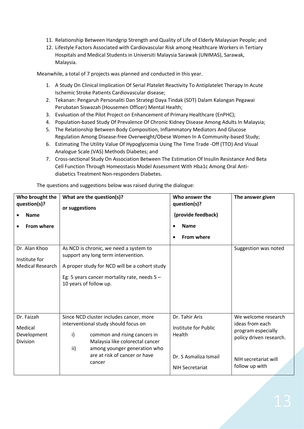- 11. Relationship Between Handgrip Strength and Quality of Life of Elderly Malaysian People; and
- 12. Lifestyle Factors Associated with Cardiovascular Risk among Healthcare Workers in Tertiary Hospitals and Medical Students in Universiti Malaysia Sarawak (UNIMAS), Sarawak, Malaysia.

Meanwhile, a total of 7 projects was planned and conducted in this year.

- 1. A Study On Clinical Implication Of Serial Platelet Reactivity To Antiplatelet Therapy In Acute Ischemic Stroke Patients Cardiovascular disease;
- 2. Tekanan: Pengaruh Personaliti Dan Strategi Daya Tindak (SDT) Dalam Kalangan Pegawai Perubatan Siswazah (Housemen Officer) Mental Health;
- 3. Evaluation of the Pilot Project on Enhancement of Primary Healthcare (EnPHC);
- 4. Population-based Study Of Prevalence Of Chronic Kidney Disease Among Adults In Malaysia;
- 5. The Relationship Between Body Composition, Inflammatory Mediators And Glucose Regulation Among Disease-free Overweight/Obese Women In A Community-based Study;
- 6. Estimating The Utility Value Of Hypoglycemia Using The Time Trade -Off (TTO) And Visual Analogue Scale (VAS) Methods Diabetes; and
- 7. Cross-sectional Study On Association Between The Estimation Of Insulin Resistance And Beta Cell Function Through Homeostasis Model Assessment With Hba1c Among Oral Antidiabetics Treatment Non-responders Diabetes.

| Who brought the<br>question(s)?<br><b>Name</b><br><b>From where</b> | What are the question(s)?<br>or suggestions                                                                                                                                                                                                          | Who answer the<br>question(s)?<br>(provide feedback)<br><b>Name</b><br>$\bullet$<br><b>From where</b><br>$\bullet$ | The answer given                                                                                                                  |
|---------------------------------------------------------------------|------------------------------------------------------------------------------------------------------------------------------------------------------------------------------------------------------------------------------------------------------|--------------------------------------------------------------------------------------------------------------------|-----------------------------------------------------------------------------------------------------------------------------------|
| Dr. Alan Khoo<br>Institute for<br><b>Medical Research</b>           | As NCD is chronic, we need a system to<br>support any long term intervention.<br>A proper study for NCD will be a cohort study<br>Eg: 5 years cancer mortality rate, needs $5 -$<br>10 years of follow up.                                           |                                                                                                                    | Suggestion was noted                                                                                                              |
| Dr. Faizah<br>Medical<br>Development<br>Division                    | Since NCD cluster includes cancer, more<br>interventional study should focus on<br>$\mathsf{i}$<br>common and rising cancers in<br>Malaysia like colorectal cancer<br>ii)<br>among younger generation who<br>are at risk of cancer or have<br>cancer | Dr. Tahir Aris<br>Institute for Public<br>Health<br>Dr. S Asmaliza Ismail<br><b>NIH Secretariat</b>                | We welcome research<br>ideas from each<br>program especially<br>policy driven research.<br>NIH secretariat will<br>follow up with |

The questions and suggestions below was raised during the dialogue: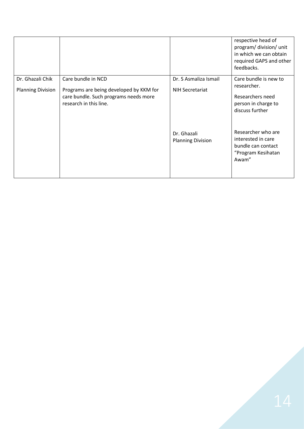|                          |                                                                                                            |                                         | respective head of<br>program/ division/ unit<br>in which we can obtain<br>required GAPS and other<br>feedbacks. |
|--------------------------|------------------------------------------------------------------------------------------------------------|-----------------------------------------|------------------------------------------------------------------------------------------------------------------|
| Dr. Ghazali Chik         | Care bundle in NCD                                                                                         | Dr. S Asmaliza Ismail                   | Care bundle is new to<br>researcher.                                                                             |
| <b>Planning Division</b> | Programs are being developed by KKM for<br>care bundle. Such programs needs more<br>research in this line. | <b>NIH Secretariat</b>                  | Researchers need<br>person in charge to<br>discuss further                                                       |
|                          |                                                                                                            | Dr. Ghazali<br><b>Planning Division</b> | Researcher who are<br>interested in care<br>bundle can contact<br>"Program Kesihatan<br>Awam"                    |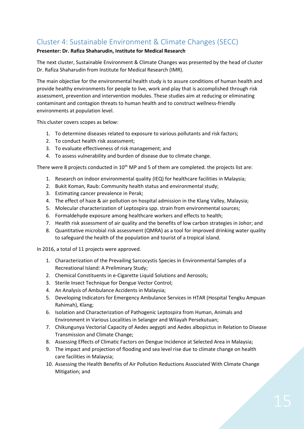# Cluster 4: Sustainable Environment & Climate Changes (SECC)

# **Presenter: Dr. Rafiza Shaharudin, Institute for Medical Research**

The next cluster, Sustainable Environment & Climate Changes was presented by the head of cluster Dr. Rafiza Shaharudin from Institute for Medical Research (IMR).

The main objective for the environmental health study is to assure conditions of human health and provide healthy environments for people to live, work and play that is accomplished through risk assessment, prevention and intervention modules. These studies aim at reducing or eliminating contaminant and contagion threats to human health and to construct wellness-friendly environments at population level.

This cluster covers scopes as below:

- 1. To determine diseases related to exposure to various pollutants and risk factors;
- 2. To conduct health risk assessment;
- 3. To evaluate effectiveness of risk management; and
- 4. To assess vulnerability and burden of disease due to climate change.

There were 8 projects conducted in 10<sup>th</sup> MP and 5 of them are completed. the projects list are:

- 1. Research on indoor environmental quality (IEQ) for healthcare facilities in Malaysia;
- 2. Bukit Koman, Raub: Community health status and environmental study;
- 3. Estimating cancer prevalence in Perak;
- 4. The effect of haze & air pollution on hospital admission in the Klang Valley, Malaysia;
- 5. Molecular characterization of Leptospira spp. strain from environmental sources;
- 6. Formaldehyde exposure among healthcare workers and effects to health;
- 7. Health risk assessment of air quality and the benefits of low carbon strategies in Johor; and
- 8. Quantitative microbial risk assessment (QMRA) as a tool for improved drinking water quality to safeguard the health of the population and tourist of a tropical island.

In 2016, a total of 11 projects were approved.

- 1. Characterization of the Prevailing Sarcocystis Species in Environmental Samples of a Recreational Island: A Preliminary Study;
- 2. Chemical Constituents in e-Cigarette Liquid Solutions and Aerosols;
- 3. Sterile Insect Technique for Dengue Vector Control;
- 4. An Analysis of Ambulance Accidents in Malaysia;
- 5. Developing Indicators for Emergency Ambulance Services in HTAR (Hospital Tengku Ampuan Rahimah), Klang;
- 6. Isolation and Characterization of Pathogenic Leptospira from Human, Animals and Environment in Various Localities in Selangor and Wilayah Persekutuan;
- 7. Chikungunya Vectorial Capacity of Aedes aegypti and Aedes albopictus in Relation to Disease Transmission and Climate Change;
- 8. Assessing Effects of Climatic Factors on Dengue Incidence at Selected Area in Malaysia;
- 9. The impact and projection of flooding and sea level rise due to climate change on health care facilities in Malaysia;
- 10. Assessing the Health Benefits of Air Pollution Reductions Associated With Climate Change Mitigation; and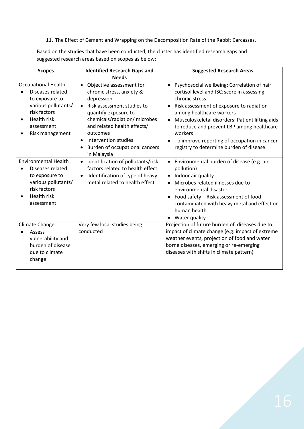11. The Effect of Cement and Wrapping on the Decomposition Rate of the Rabbit Carcasses.

Based on the studies that have been conducted, the cluster has identified research gaps and suggested research areas based on scopes as below:

| <b>Scopes</b>                                                                                                                                                        | <b>Identified Research Gaps and</b>                                                                                                                                                                                                                                                                                                | <b>Suggested Research Areas</b>                                                                                                                                                                                                                                                                                                                                                                                        |
|----------------------------------------------------------------------------------------------------------------------------------------------------------------------|------------------------------------------------------------------------------------------------------------------------------------------------------------------------------------------------------------------------------------------------------------------------------------------------------------------------------------|------------------------------------------------------------------------------------------------------------------------------------------------------------------------------------------------------------------------------------------------------------------------------------------------------------------------------------------------------------------------------------------------------------------------|
|                                                                                                                                                                      | <b>Needs</b>                                                                                                                                                                                                                                                                                                                       |                                                                                                                                                                                                                                                                                                                                                                                                                        |
| <b>Occupational Health</b><br>Diseases related<br>to exposure to<br>various pollutants/<br>risk factors<br>Health risk<br>assessment<br>Risk management<br>$\bullet$ | Objective assessment for<br>$\bullet$<br>chronic stress, anxiety &<br>depression<br>Risk assessment studies to<br>$\bullet$<br>quantify exposure to<br>chemicals/radiation/ microbes<br>and related health effects/<br>outcomes<br>Intervention studies<br>$\bullet$<br>Burden of occupational cancers<br>$\bullet$<br>in Malaysia | • Psychosocial wellbeing: Correlation of hair<br>cortisol level and JSQ score in assessing<br>chronic stress<br>Risk assessment of exposure to radiation<br>$\bullet$<br>among healthcare workers<br>Musculoskeletal disorders: Patient lifting aids<br>to reduce and prevent LBP among healthcare<br>workers<br>To improve reporting of occupation in cancer<br>$\bullet$<br>registry to determine burden of disease. |
| <b>Environmental Health</b><br>Diseases related<br>to exposure to<br>various pollutants/<br>risk factors<br>Health risk<br>assessment                                | Identification of pollutants/risk<br>$\bullet$<br>factors related to health effect<br>Identification of type of heavy<br>$\bullet$<br>metal related to health effect                                                                                                                                                               | • Environmental burden of disease (e.g. air<br>pollution)<br>• Indoor air quality<br>Microbes related illnesses due to<br>environmental disaster<br>Food safety - Risk assessment of food<br>contaminated with heavy metal and effect on<br>human health<br>Water quality<br>٠                                                                                                                                         |
| Climate Change<br>Assess<br>vulnerability and<br>burden of disease<br>due to climate<br>change                                                                       | Very few local studies being<br>conducted                                                                                                                                                                                                                                                                                          | Projection of future burden of diseases due to<br>impact of climate change (e.g: impact of extreme<br>weather events, projection of food and water<br>borne diseases, emerging or re-emerging<br>diseases with shifts in climate pattern)                                                                                                                                                                              |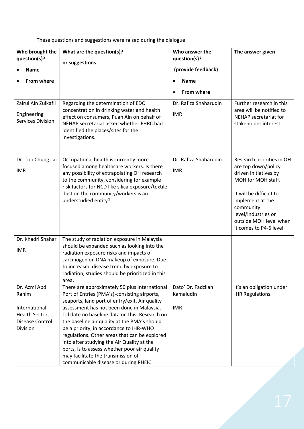These questions and suggestions were raised during the dialogue:

| Who brought the<br>question(s)?<br><b>Name</b><br>From where<br>Zairul Ain Zulkafli<br>Engineering<br><b>Services Division</b> | What are the question(s)?<br>or suggestions<br>Regarding the determination of EDC<br>concentration in drinking water and health<br>effect on consumers, Puan Ain on behalf of<br>NEHAP secretariat asked whether EHRC had<br>identified the places/sites for the<br>investigations.                                                                                                                                                                                                                                                                                     | Who answer the<br>question(s)?<br>(provide feedback)<br><b>Name</b><br>$\bullet$<br><b>From where</b><br>$\bullet$<br>Dr. Rafiza Shaharudin<br><b>IMR</b> | The answer given<br>Further research in this<br>area will be notified to<br>NEHAP secretariat for<br>stakeholder interest.                                                                                                              |
|--------------------------------------------------------------------------------------------------------------------------------|-------------------------------------------------------------------------------------------------------------------------------------------------------------------------------------------------------------------------------------------------------------------------------------------------------------------------------------------------------------------------------------------------------------------------------------------------------------------------------------------------------------------------------------------------------------------------|-----------------------------------------------------------------------------------------------------------------------------------------------------------|-----------------------------------------------------------------------------------------------------------------------------------------------------------------------------------------------------------------------------------------|
| Dr. Too Chung Lai<br><b>IMR</b>                                                                                                | Occupational health is currently more<br>focused among healthcare workers. Is there<br>any possibility of extrapolating OH research<br>to the community, considering for example<br>risk factors for NCD like silica exposure/textile<br>dust on the community/workers is an<br>understudied entity?                                                                                                                                                                                                                                                                    | Dr. Rafiza Shaharudin<br><b>IMR</b>                                                                                                                       | Research priorities in OH<br>are top down/policy<br>driven initiatives by<br>MOH for MOH staff.<br>It will be difficult to<br>implement at the<br>community<br>level/industries or<br>outside MOH level when<br>it comes to P4-6 level. |
| Dr. Khadri Shahar<br><b>IMR</b>                                                                                                | The study of radiation exposure in Malaysia<br>should be expanded such as looking into the<br>radiation exposure risks and impacts of<br>carcinogen on DNA makeup of exposure. Due<br>to increased disease trend by exposure to<br>radiation, studies should be prioritized in this<br>area.                                                                                                                                                                                                                                                                            |                                                                                                                                                           |                                                                                                                                                                                                                                         |
| Dr. Azmi Abd<br>Rahim<br>International<br>Health Sector,<br>Disease Control<br>Division                                        | There are approximately 50 plus International<br>Port of Entries (PMA's)-consisting airports,<br>seaports, land port of entry/exit. Air quality<br>assessment has not been done in Malaysia.<br>Till date no baseline data on this. Research on<br>the baseline air quality at the PMA's should<br>be a priority, in accordance to IHR-WHO<br>regulations. Other areas that can be explored<br>into after studying the Air Quality at the<br>ports, is to assess whether poor air quality<br>may facilitate the transmission of<br>communicable disease or during PHEIC | Dato' Dr. Fadzilah<br>Kamaludin<br><b>IMR</b>                                                                                                             | It's an obligation under<br><b>IHR Regulations.</b>                                                                                                                                                                                     |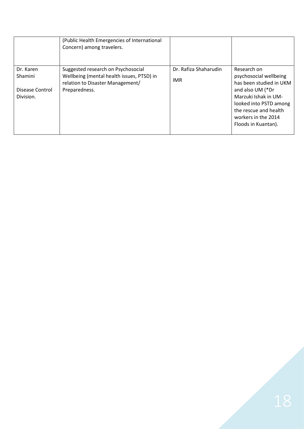|                                                      | (Public Health Emergencies of International<br>Concern) among travelers.                                                             |                               |                                                                                                                                                                                                               |
|------------------------------------------------------|--------------------------------------------------------------------------------------------------------------------------------------|-------------------------------|---------------------------------------------------------------------------------------------------------------------------------------------------------------------------------------------------------------|
| Dr. Karen<br>Shamini<br>Disease Control<br>Division. | Suggested research on Psychosocial<br>Wellbeing (mental health issues, PTSD) in<br>relation to Disaster Management/<br>Preparedness. | Dr. Rafiza Shaharudin<br>IMR. | Research on<br>psychosocial wellbeing<br>has been studied in UKM<br>and also UM (*Dr<br>Marzuki Ishak in UM-<br>looked into PSTD among<br>the rescue and health<br>workers in the 2014<br>Floods in Kuantan). |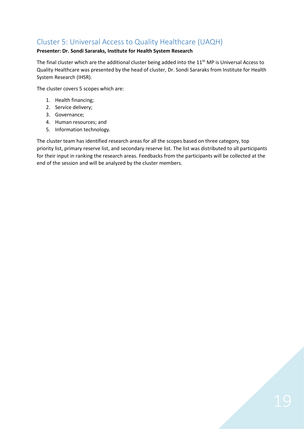# Cluster 5: Universal Access to Quality Healthcare (UAQH)

# **Presenter: Dr. Sondi Sararaks, Institute for Health System Research**

The final cluster which are the additional cluster being added into the 11<sup>th</sup> MP is Universal Access to Quality Healthcare was presented by the head of cluster, Dr. Sondi Sararaks from Institute for Health System Research (IHSR).

The cluster covers 5 scopes which are:

- 1. Health financing;
- 2. Service delivery;
- 3. Governance;
- 4. Human resources; and
- 5. Information technology.

The cluster team has identified research areas for all the scopes based on three category, top priority list, primary reserve list, and secondary reserve list. The list was distributed to all participants for their input in ranking the research areas. Feedbacks from the participants will be collected at the end of the session and will be analyzed by the cluster members.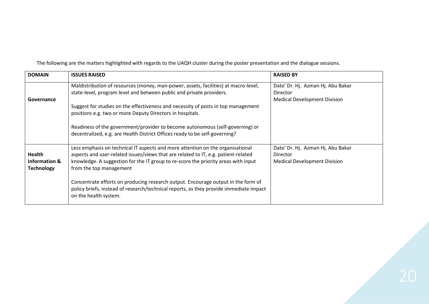| <b>DOMAIN</b>                                | <b>ISSUES RAISED</b>                                                                                                                                                                                                                                                                  | <b>RAISED BY</b>                                                                            |
|----------------------------------------------|---------------------------------------------------------------------------------------------------------------------------------------------------------------------------------------------------------------------------------------------------------------------------------------|---------------------------------------------------------------------------------------------|
| Governance                                   | Maldistribution of resources (money, man-power, assets, facilities) at macro-level,<br>state-level, program level and between public and private providers.                                                                                                                           | Dato' Dr. Hj. Azman Hj. Abu Bakar<br><b>Director</b><br><b>Medical Development Division</b> |
|                                              | Suggest for studies on the effectiveness and necessity of posts in top management<br>positions e.g. two or more Deputy Directors in hospitals.                                                                                                                                        |                                                                                             |
|                                              | Readiness of the government/provider to become autonomous (self-governing) or<br>decentralized, e.g. are Health District Offices ready to be self-governing?                                                                                                                          |                                                                                             |
| Health<br>Information &<br><b>Technology</b> | Less emphasis on technical IT aspects and more attention on the organisational<br>aspects and user-related issues/views that are related to IT, e.g. patient-related<br>knowledge. A suggestion for the IT group to re-score the priority areas with input<br>from the top management | Dato' Dr. Hj. Azman Hj. Abu Bakar<br><b>Director</b><br><b>Medical Development Division</b> |
|                                              | Concentrate efforts on producing research output. Encourage output in the form of<br>policy briefs, instead of research/technical reports, as they provide immediate impact<br>on the health system.                                                                                  |                                                                                             |

The following are the matters highlighted with regards to the UAQH cluster during the poster presentation and the dialogue sessions.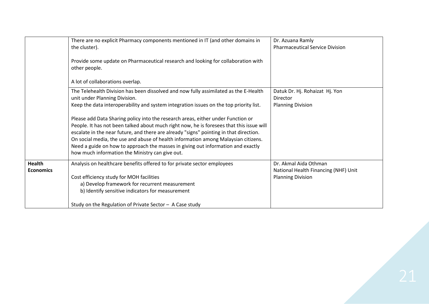|                                   | There are no explicit Pharmacy components mentioned in IT (and other domains in<br>the cluster).<br>Provide some update on Pharmaceutical research and looking for collaboration with<br>other people.                                                                                                                                                                                                                                                                                                                                                                                                                                                                                                                                                     | Dr. Azuana Ramly<br><b>Pharmaceutical Service Division</b>                                |
|-----------------------------------|------------------------------------------------------------------------------------------------------------------------------------------------------------------------------------------------------------------------------------------------------------------------------------------------------------------------------------------------------------------------------------------------------------------------------------------------------------------------------------------------------------------------------------------------------------------------------------------------------------------------------------------------------------------------------------------------------------------------------------------------------------|-------------------------------------------------------------------------------------------|
|                                   | A lot of collaborations overlap.<br>The Telehealth Division has been dissolved and now fully assimilated as the E-Health<br>unit under Planning Division.<br>Keep the data interoperability and system integration issues on the top priority list.<br>Please add Data Sharing policy into the research areas, either under Function or<br>People. It has not been talked about much right now, he is foresees that this issue will<br>escalate in the near future, and there are already "signs" pointing in that direction.<br>On social media, the use and abuse of health information among Malaysian citizens.<br>Need a guide on how to approach the masses in giving out information and exactly<br>how much information the Ministry can give out. | Datuk Dr. Hj. Rohaizat Hj. Yon<br>Director<br><b>Planning Division</b>                    |
| <b>Health</b><br><b>Economics</b> | Analysis on healthcare benefits offered to for private sector employees<br>Cost efficiency study for MOH facilities<br>a) Develop framework for recurrent measurement<br>b) Identify sensitive indicators for measurement<br>Study on the Regulation of Private Sector $-$ A Case study                                                                                                                                                                                                                                                                                                                                                                                                                                                                    | Dr. Akmal Aida Othman<br>National Health Financing (NHF) Unit<br><b>Planning Division</b> |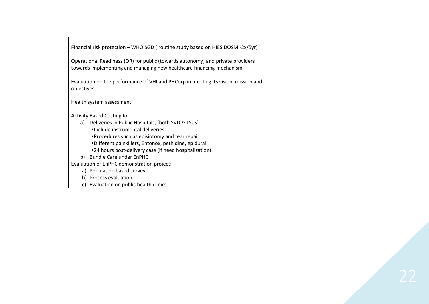| Financial risk protection – WHO SGD (routine study based on HIES DOSM -2x/5yr)                                                                                                                                                                                                                                                                                                                                                                                                 |
|--------------------------------------------------------------------------------------------------------------------------------------------------------------------------------------------------------------------------------------------------------------------------------------------------------------------------------------------------------------------------------------------------------------------------------------------------------------------------------|
| Operational Readiness (OR) for public (towards autonomy) and private providers<br>towards implementing and managing new healthcare financing mechanism                                                                                                                                                                                                                                                                                                                         |
| Evaluation on the performance of VHI and PHCorp in meeting its vision, mission and<br>objectives.                                                                                                                                                                                                                                                                                                                                                                              |
| Health system assessment                                                                                                                                                                                                                                                                                                                                                                                                                                                       |
| <b>Activity Based Costing for</b><br>a) Deliveries in Public Hospitals, (both SVD & LSCS)<br>·Include instrumental deliveries<br>•Procedures such as episiotomy and tear repair<br>•Different painkillers, Entonox, pethidine, epidural<br>•24 hours post-delivery case (if need hospitalization)<br>b) Bundle Care under EnPHC<br>Evaluation of EnPHC demonstration project;<br>a) Population based survey<br>b) Process evaluation<br>c) Evaluation on public health clinics |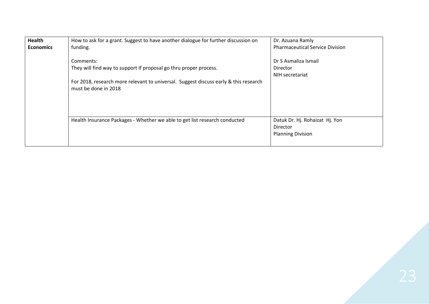| <b>Health</b><br><b>Economics</b> | How to ask for a grant. Suggest to have another dialogue for further discussion on<br>funding.<br>Comments:<br>They will find way to support If proposal go thru proper process.<br>For 2018, research more relevant to universal. Suggest discuss early & this research<br>must be done in 2018 | Dr. Azuana Ramly<br><b>Pharmaceutical Service Division</b><br>Dr S Asmaliza Ismail<br>Director<br>NIH secretariat |
|-----------------------------------|--------------------------------------------------------------------------------------------------------------------------------------------------------------------------------------------------------------------------------------------------------------------------------------------------|-------------------------------------------------------------------------------------------------------------------|
|                                   | Health Insurance Packages - Whether we able to get list research conducted                                                                                                                                                                                                                       | Datuk Dr. Hj. Rohaizat Hj. Yon<br>Director<br><b>Planning Division</b>                                            |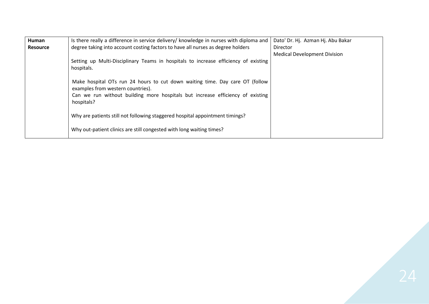| Human           | Is there really a difference in service delivery/ knowledge in nurses with diploma and                            | Dato' Dr. Hj. Azman Hj. Abu Bakar   |
|-----------------|-------------------------------------------------------------------------------------------------------------------|-------------------------------------|
| <b>Resource</b> | degree taking into account costing factors to have all nurses as degree holders                                   | <b>Director</b>                     |
|                 |                                                                                                                   | <b>Medical Development Division</b> |
|                 | Setting up Multi-Disciplinary Teams in hospitals to increase efficiency of existing<br>hospitals.                 |                                     |
|                 | Make hospital OTs run 24 hours to cut down waiting time. Day care OT (follow<br>examples from western countries). |                                     |
|                 | Can we run without building more hospitals but increase efficiency of existing<br>hospitals?                      |                                     |
|                 | Why are patients still not following staggered hospital appointment timings?                                      |                                     |
|                 | Why out-patient clinics are still congested with long waiting times?                                              |                                     |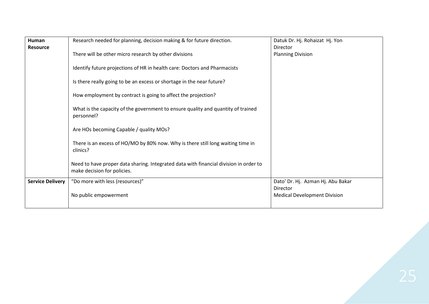| Human                   | Research needed for planning, decision making & for future direction.                                                | Datuk Dr. Hj. Rohaizat Hj. Yon                  |
|-------------------------|----------------------------------------------------------------------------------------------------------------------|-------------------------------------------------|
| <b>Resource</b>         | There will be other micro research by other divisions                                                                | Director<br><b>Planning Division</b>            |
|                         | Identify future projections of HR in health care: Doctors and Pharmacists                                            |                                                 |
|                         | Is there really going to be an excess or shortage in the near future?                                                |                                                 |
|                         | How employment by contract is going to affect the projection?                                                        |                                                 |
|                         | What is the capacity of the government to ensure quality and quantity of trained<br>personnel?                       |                                                 |
|                         | Are HOs becoming Capable / quality MOs?                                                                              |                                                 |
|                         | There is an excess of HO/MO by 80% now. Why is there still long waiting time in<br>clinics?                          |                                                 |
|                         | Need to have proper data sharing. Integrated data with financial division in order to<br>make decision for policies. |                                                 |
| <b>Service Delivery</b> | "Do more with less (resources)"                                                                                      | Dato' Dr. Hj. Azman Hj. Abu Bakar               |
|                         | No public empowerment                                                                                                | Director<br><b>Medical Development Division</b> |
|                         |                                                                                                                      |                                                 |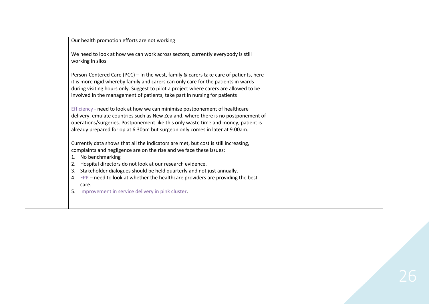| Our health promotion efforts are not working                                                                                                                                                                                                                                                                                                                                                                                      |  |
|-----------------------------------------------------------------------------------------------------------------------------------------------------------------------------------------------------------------------------------------------------------------------------------------------------------------------------------------------------------------------------------------------------------------------------------|--|
| We need to look at how we can work across sectors, currently everybody is still<br>working in silos                                                                                                                                                                                                                                                                                                                               |  |
| Person-Centered Care (PCC) – In the west, family & carers take care of patients, here<br>it is more rigid whereby family and carers can only care for the patients in wards<br>during visiting hours only. Suggest to pilot a project where carers are allowed to be<br>involved in the management of patients, take part in nursing for patients                                                                                 |  |
| Efficiency - need to look at how we can minimise postponement of healthcare<br>delivery, emulate countries such as New Zealand, where there is no postponement of<br>operations/surgeries. Postponement like this only waste time and money, patient is<br>already prepared for op at 6.30am but surgeon only comes in later at 9.00am.                                                                                           |  |
| Currently data shows that all the indicators are met, but cost is still increasing,<br>complaints and negligence are on the rise and we face these issues:<br>No benchmarking<br>1.<br>Hospital directors do not look at our research evidence.<br>2.<br>Stakeholder dialogues should be held quarterly and not just annually.<br>3.<br>4. FPP – need to look at whether the healthcare providers are providing the best<br>care. |  |
| 5. Improvement in service delivery in pink cluster.                                                                                                                                                                                                                                                                                                                                                                               |  |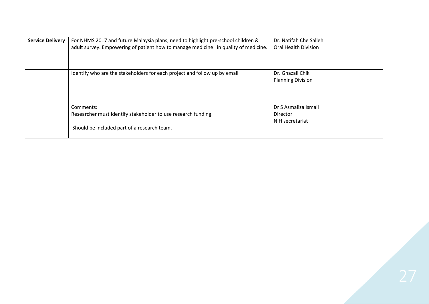| <b>Service Delivery</b> | For NHMS 2017 and future Malaysia plans, need to highlight pre-school children &<br>adult survey. Empowering of patient how to manage medicine in quality of medicine. | Dr. Natifah Che Salleh<br><b>Oral Health Division</b> |
|-------------------------|------------------------------------------------------------------------------------------------------------------------------------------------------------------------|-------------------------------------------------------|
|                         | Identify who are the stakeholders for each project and follow up by email                                                                                              | Dr. Ghazali Chik<br><b>Planning Division</b>          |
|                         | Comments:<br>Researcher must identify stakeholder to use research funding.<br>Should be included part of a research team.                                              | Dr S Asmaliza Ismail<br>Director<br>NIH secretariat   |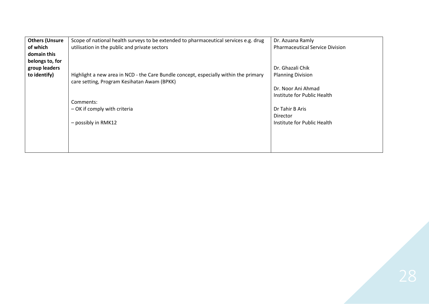| <b>Others (Unsure</b> | Scope of national health surveys to be extended to pharmaceutical services e.g. drug | Dr. Azuana Ramly                       |
|-----------------------|--------------------------------------------------------------------------------------|----------------------------------------|
| of which              | utilisation in the public and private sectors                                        | <b>Pharmaceutical Service Division</b> |
| domain this           |                                                                                      |                                        |
| belongs to, for       |                                                                                      |                                        |
| group leaders         |                                                                                      | Dr. Ghazali Chik                       |
| to identify)          | Highlight a new area in NCD - the Care Bundle concept, especially within the primary | <b>Planning Division</b>               |
|                       | care setting, Program Kesihatan Awam (BPKK)                                          |                                        |
|                       |                                                                                      | Dr. Noor Ani Ahmad                     |
|                       |                                                                                      | Institute for Public Health            |
|                       | Comments:                                                                            |                                        |
|                       | - OK if comply with criteria                                                         | Dr Tahir B Aris                        |
|                       |                                                                                      | Director                               |
|                       | $-$ possibly in RMK12                                                                | Institute for Public Health            |
|                       |                                                                                      |                                        |
|                       |                                                                                      |                                        |
|                       |                                                                                      |                                        |
|                       |                                                                                      |                                        |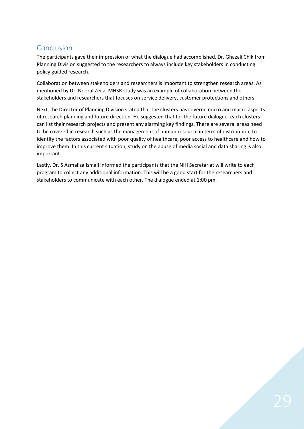# Conclusion

The participants gave their impression of what the dialogue had accomplished. Dr. Ghazali Chik from Planning Division suggested to the researchers to always include key stakeholders in conducting policy guided research.

Collaboration between stakeholders and researchers is important to strengthen research areas. As mentioned by Dr. Nooral Zeila, MHSR study was an example of collaboration between the stakeholders and researchers that focuses on service delivery, customer protections and others.

Next, the Director of Planning Division stated that the clusters has covered micro and macro aspects of research planning and future direction. He suggested that for the future dialogue, each clusters can list their research projects and present any alarming key findings. There are several areas need to be covered in research such as the management of human resource in term of distribution, to identify the factors associated with poor quality of healthcare, poor access to healthcare and how to improve them. In this current situation, study on the abuse of media social and data sharing is also important.

Lastly, Dr. S Asmaliza Ismail informed the participants that the NIH Secretariat will write to each program to collect any additional information. This will be a good start for the researchers and stakeholders to communicate with each other. The dialogue ended at 1:00 pm.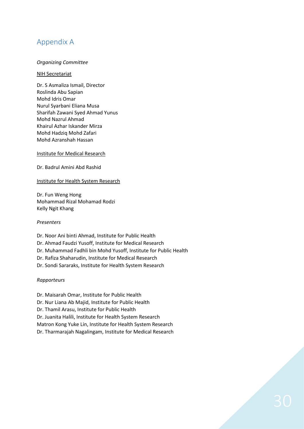# Appendix A

### *Organizing Committee*

#### NIH Secretariat

Dr. S Asmaliza Ismail, Director Roslinda Abu Sapian Mohd Idris Omar Nurul Syarbani Eliana Musa Sharifah Zawani Syed Ahmad Yunus Mohd Nazrul Ahmad Khairul Azhar Iskander Mirza Mohd Hadziq Mohd Zafari Mohd Azranshah Hassan

Institute for Medical Research

Dr. Badrul Amini Abd Rashid

### Institute for Health System Research

Dr. Fun Weng Hong Mohammad Rizal Mohamad Rodzi Kelly Ngit Khang

#### *Presenters*

Dr. Noor Ani binti Ahmad, Institute for Public Health Dr. Ahmad Faudzi Yusoff, Institute for Medical Research Dr. Muhammad Fadhli bin Mohd Yusoff, Institute for Public Health Dr. Rafiza Shaharudin, Institute for Medical Research Dr. Sondi Sararaks, Institute for Health System Research

# *Rapporteurs*

Dr. Maisarah Omar, Institute for Public Health

Dr. Nur Liana Ab Majid, Institute for Public Health

Dr. Thamil Arasu, Institute for Public Health

Dr. Juanita Halili, Institute for Health System Research

Matron Kong Yuke Lin, Institute for Health System Research

Dr. Tharmarajah Nagalingam, Institute for Medical Research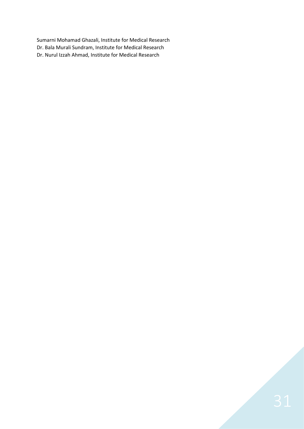Sumarni Mohamad Ghazali, Institute for Medical Research Dr. Bala Murali Sundram, Institute for Medical Research Dr. Nurul Izzah Ahmad, Institute for Medical Research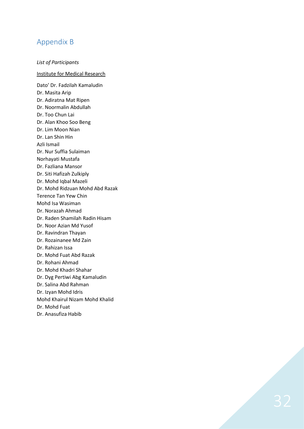# Appendix B

### *List of Participants*

#### Institute for Medical Research

Dato' Dr. Fadzilah Kamaludin Dr. Masita Arip Dr. Adiratna Mat Ripen Dr. Noormalin Abdullah Dr. Too Chun Lai Dr. Alan Khoo Soo Beng Dr. Lim Moon Nian Dr. Lan Shin Hin Azli Ismail Dr. Nur Suffia Sulaiman Norhayati Mustafa Dr. Fazliana Mansor Dr. Siti Hafizah Zulkiply Dr. Mohd Iqbal Mazeli Dr. Mohd Ridzuan Mohd Abd Razak Terence Tan Yew Chin Mohd Isa Wasiman Dr. Norazah Ahmad Dr. Raden Shamilah Radin Hisam Dr. Noor Azian Md Yusof Dr. Ravindran Thayan Dr. Rozainanee Md Zain Dr. Rahizan Issa Dr. Mohd Fuat Abd Razak Dr. Rohani Ahmad Dr. Mohd Khadri Shahar Dr. Dyg Pertiwi Abg Kamaludin Dr. Salina Abd Rahman Dr. Izyan Mohd Idris Mohd Khairul Nizam Mohd Khalid Dr. Mohd Fuat Dr. Anasufiza Habib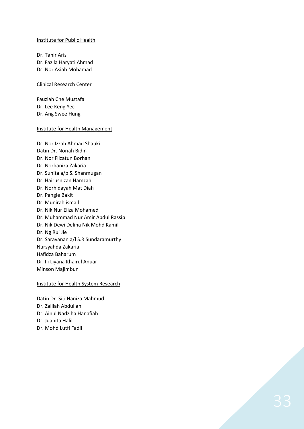#### Institute for Public Health

Dr. Tahir Aris Dr. Fazila Haryati Ahmad Dr. Nor Asiah Mohamad

#### Clinical Research Center

Fauziah Che Mustafa Dr. Lee Keng Yec Dr. Ang Swee Hung

#### Institute for Health Management

Dr. Nor Izzah Ahmad Shauki Datin Dr. Noriah Bidin Dr. Nor Filzatun Borhan Dr. Norhaniza Zakaria Dr. Sunita a/p S. Shanmugan Dr. Hairusnizan Hamzah Dr. Norhidayah Mat Diah Dr. Pangie Bakit Dr. Munirah ismail Dr. Nik Nur Eliza Mohamed Dr. Muhammad Nur Amir Abdul Rassip Dr. Nik Dewi Delina Nik Mohd Kamil Dr. Ng Rui Jie Dr. Saravanan a/l S.R Sundaramurthy Nursyahda Zakaria Hafidza Baharum Dr. Ili Liyana Khairul Anuar Minson Majimbun

### Institute for Health System Research

Datin Dr . Siti Haniza Mahmud Dr . Zalilah Abdullah Dr . Ainul Nadziha Hanafiah Dr . Juanita Halili Dr . Mohd Lutfi Fadil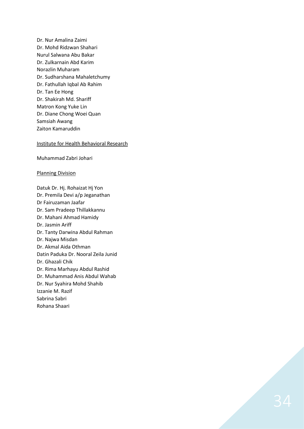Dr. Nur Amalina Zaimi Dr. Mohd Ridzwan Shahari Nurul Salwana Abu Bakar Dr. Zulkarnain Abd Karim Norazlin Muharam Dr. Sudharshana Mahaletchumy Dr. Fathullah Iqbal Ab Rahim Dr. Tan Ee Hong Dr. Shakirah Md. Shariff Matron Kong Yuke Lin Dr. Diane Chong Woei Quan Samsiah Awang Zaiton Kamaruddin

#### Institute for Health Behavioral Research

Muhammad Zabri Johari

#### Planning Division

Datuk Dr. Hj. Rohaizat Hj Yon Dr. Premila Devi a/p Jeganathan Dr Fairuzaman Jaafar Dr. Sam Pradeep Thillakkannu Dr. Mahani Ahmad Hamidy Dr. Jasmin Ariff Dr. Tanty Darwina Abdul Rahman Dr. Najwa Misdan Dr. Akmal Aida Othman Datin Paduka Dr. Nooral Zeila Junid Dr. Ghazali Chik Dr. Rima Marhayu Abdul Rashid Dr. Muhammad Anis Abdul Wahab Dr. Nur Syahira Mohd Shahib Izzanie M. Razif Sabrina Sabri Rohana Shaari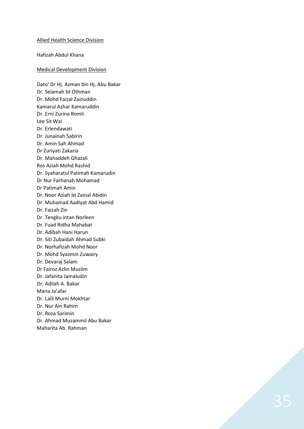#### Allied Health Science Division

Hafizah Abdul Khana

#### Medical Development Division

Dato' Dr Hj. Azman bin Hj. Abu Bakar Dr. Selamah bt Othman Dr . Mohd Faizal Zainuddin Kamarul Azhar Kamaruddin Dr . Erni Zurina Romli Lee Sit Wai Dr . Erlendawati Dr . Junainah Sabirin Dr. Amin Sah Ahmad Dr Zuriyati Zakaria Dr . Mahaddeh Ghazali Ros Aziah Mohd Rashid Dr . Syaharatul Patimah Kamarudin Dr Nur Farhanah Mohamad Dr Patimah Amin Dr . Noor Aziah bt Zainal Abidin Dr. Muhamad Aadiyat Abd Hamid Dr . Faizah Zin Dr . Tengku intan Norleen Dr . Fuad Ridha Mahabat Dr . Adibah Hani Harun Dr . Siti Zubaidah Ahmad Subki Dr . Norhafizah Mohd Noor Dr. Mohd Syazmin Zuwairy Dr . Devaraj Salam Dr Fairoz Azlin Muslim Dr. Jafanita Jamaludin Dr . Adilah A. Bakar Maria Ja'afar Dr . Laili Murni Mokhtar Dr . Nur Ain Rahim Dr . Roza Sarimin Dr . Ahmad Muzammil Abu Bakar Maharita Ab. Rahman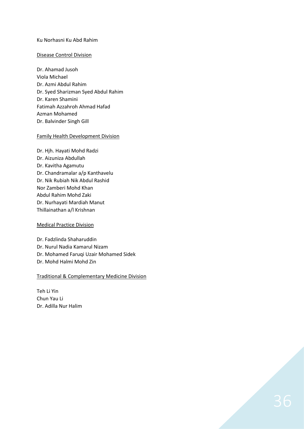### Ku Norhasni Ku Abd Rahim

### Disease Control Division

Dr. Ahamad Jusoh Viola Michael Dr. Azmi Abdul Rahim Dr. Syed Sharizman Syed Abdul Rahim Dr. Karen Shamini Fatimah Azzahroh Ahmad Hafad Azman Mohamed Dr. Balvinder Singh Gill

### Family Health Development Division

Dr. Hjh. Hayati Mohd Radzi Dr. Aizuniza Abdullah Dr. Kavitha Agamutu Dr. Chandramalar a/p Kanthavelu Dr. Nik Rubiah Nik Abdul Rashid Nor Zamberi Mohd Khan Abdul Rahim Mohd Zaki Dr. Nurhayati Mardiah Manut Thillainathan a/l Krishnan

#### Medical Practice Division

Dr. Fadzlinda Shaharuddin Dr. Nurul Nadia Kamarul Nizam Dr. Mohamed Faruqi Uzair Mohamed Sidek Dr. Mohd Halmi Mohd Zin

# Traditional & Complementary Medicine Division

Teh Li Yin Chun Yau Li Dr. Adilla Nur Halim